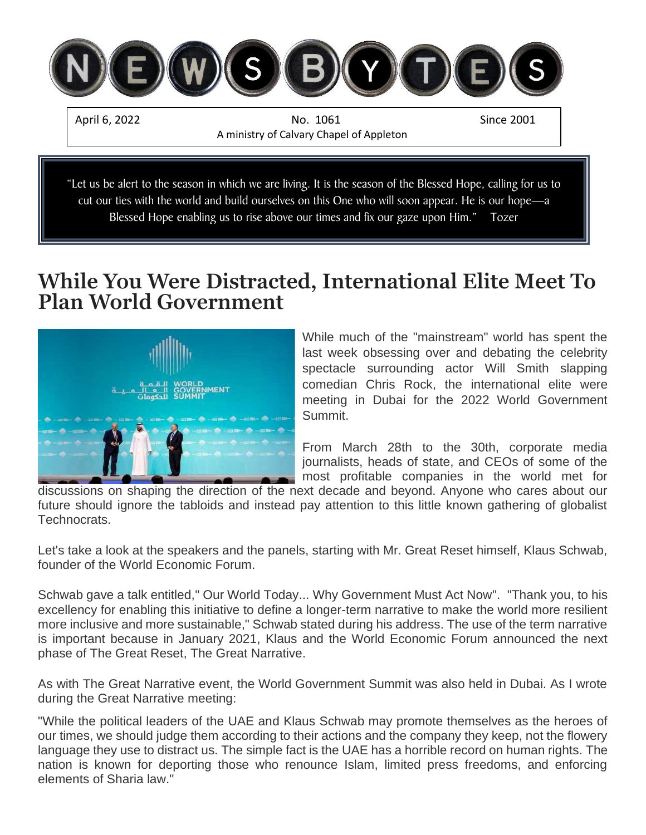

## **While You Were Distracted, International Elite Meet To Plan World Government**



While much of the "mainstream" world has spent the last week obsessing over and debating the celebrity spectacle surrounding actor Will Smith slapping comedian Chris Rock, the international elite were meeting in Dubai for the 2022 World Government Summit.

From March 28th to the 30th, corporate media journalists, heads of state, and CEOs of some of the most profitable companies in the world met for

discussions on shaping the direction of the next decade and beyond. Anyone who cares about our future should ignore the tabloids and instead pay attention to this little known gathering of globalist Technocrats.

Let's take a look at the speakers and the panels, starting with Mr. Great Reset himself, Klaus Schwab, founder of the World Economic Forum.

Schwab gave a talk entitled," Our World Today... Why Government Must Act Now". "Thank you, to his excellency for enabling this initiative to define a longer-term narrative to make the world more resilient more inclusive and more sustainable," Schwab stated during his address. The use of the term narrative is important because in January 2021, Klaus and the World Economic Forum announced the next phase of The Great Reset, The Great Narrative.

As with The Great Narrative event, the World Government Summit was also held in Dubai. As I wrote during the Great Narrative meeting:

"While the political leaders of the UAE and Klaus Schwab may promote themselves as the heroes of our times, we should judge them according to their actions and the company they keep, not the flowery language they use to distract us. The simple fact is the UAE has a horrible record on human rights. The nation is known for deporting those who renounce Islam, limited press freedoms, and enforcing elements of Sharia law."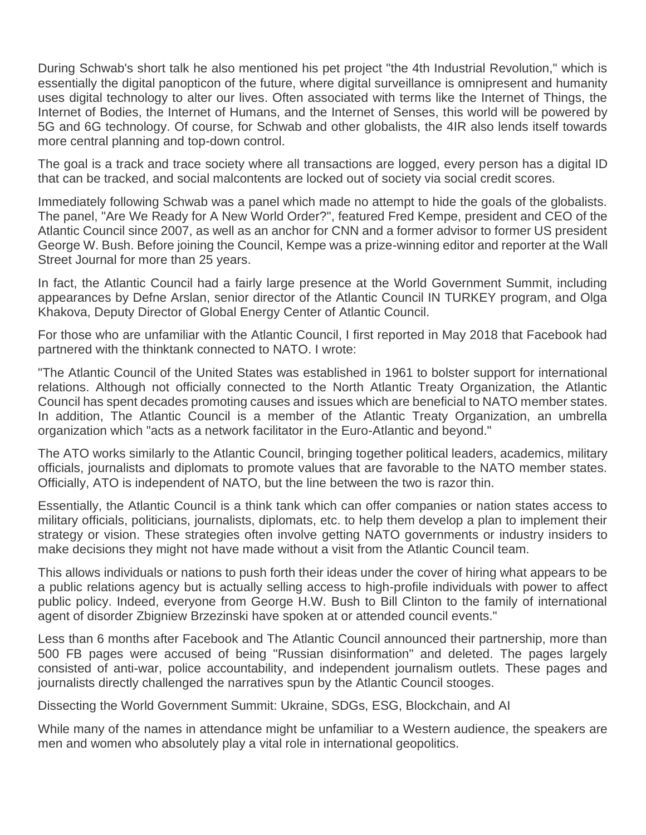During Schwab's short talk he also mentioned his pet project "the 4th Industrial Revolution," which is essentially the digital panopticon of the future, where digital surveillance is omnipresent and humanity uses digital technology to alter our lives. Often associated with terms like the Internet of Things, the Internet of Bodies, the Internet of Humans, and the Internet of Senses, this world will be powered by 5G and 6G technology. Of course, for Schwab and other globalists, the 4IR also lends itself towards more central planning and top-down control.

The goal is a track and trace society where all transactions are logged, every person has a digital ID that can be tracked, and social malcontents are locked out of society via social credit scores.

Immediately following Schwab was a panel which made no attempt to hide the goals of the globalists. The panel, "Are We Ready for A New World Order?", featured Fred Kempe, president and CEO of the Atlantic Council since 2007, as well as an anchor for CNN and a former advisor to former US president George W. Bush. Before joining the Council, Kempe was a prize-winning editor and reporter at the Wall Street Journal for more than 25 years.

In fact, the Atlantic Council had a fairly large presence at the World Government Summit, including appearances by Defne Arslan, senior director of the Atlantic Council IN TURKEY program, and Olga Khakova, Deputy Director of Global Energy Center of Atlantic Council.

For those who are unfamiliar with the Atlantic Council, I first reported in May 2018 that Facebook had partnered with the thinktank connected to NATO. I wrote:

"The Atlantic Council of the United States was established in 1961 to bolster support for international relations. Although not officially connected to the North Atlantic Treaty Organization, the Atlantic Council has spent decades promoting causes and issues which are beneficial to NATO member states. In addition, The Atlantic Council is a member of the Atlantic Treaty Organization, an umbrella organization which "acts as a network facilitator in the Euro-Atlantic and beyond."

The ATO works similarly to the Atlantic Council, bringing together political leaders, academics, military officials, journalists and diplomats to promote values that are favorable to the NATO member states. Officially, ATO is independent of NATO, but the line between the two is razor thin.

Essentially, the Atlantic Council is a think tank which can offer companies or nation states access to military officials, politicians, journalists, diplomats, etc. to help them develop a plan to implement their strategy or vision. These strategies often involve getting NATO governments or industry insiders to make decisions they might not have made without a visit from the Atlantic Council team.

This allows individuals or nations to push forth their ideas under the cover of hiring what appears to be a public relations agency but is actually selling access to high-profile individuals with power to affect public policy. Indeed, everyone from George H.W. Bush to Bill Clinton to the family of international agent of disorder Zbigniew Brzezinski have spoken at or attended council events."

Less than 6 months after Facebook and The Atlantic Council announced their partnership, more than 500 FB pages were accused of being "Russian disinformation" and deleted. The pages largely consisted of anti-war, police accountability, and independent journalism outlets. These pages and journalists directly challenged the narratives spun by the Atlantic Council stooges.

Dissecting the World Government Summit: Ukraine, SDGs, ESG, Blockchain, and AI

While many of the names in attendance might be unfamiliar to a Western audience, the speakers are men and women who absolutely play a vital role in international geopolitics.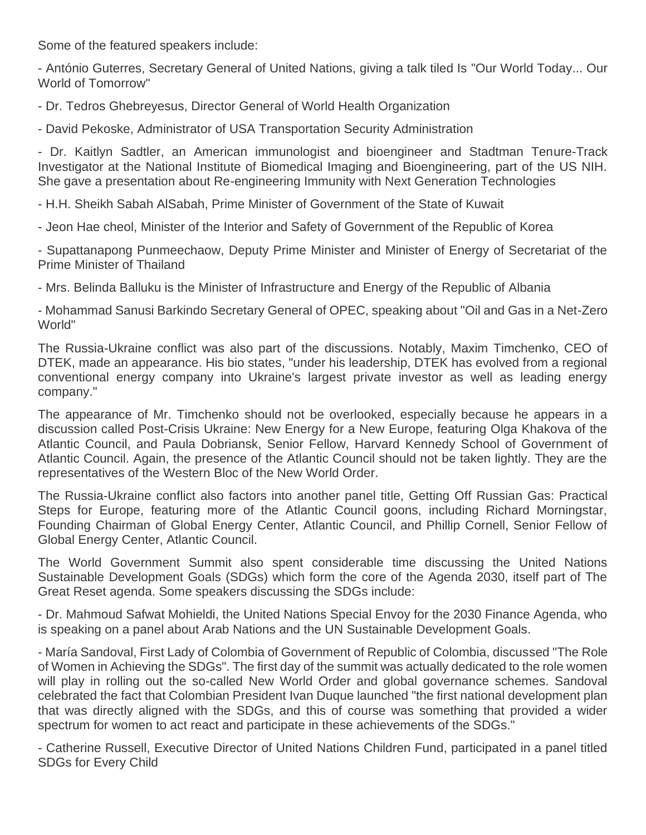Some of the featured speakers include:

- António Guterres, Secretary General of United Nations, giving a talk tiled Is "Our World Today... Our World of Tomorrow"

- Dr. Tedros Ghebreyesus, Director General of World Health Organization

- David Pekoske, Administrator of USA Transportation Security Administration

- Dr. Kaitlyn Sadtler, an American immunologist and bioengineer and Stadtman Tenure-Track Investigator at the National Institute of Biomedical Imaging and Bioengineering, part of the US NIH. She gave a presentation about Re-engineering Immunity with Next Generation Technologies

- H.H. Sheikh Sabah AlSabah, Prime Minister of Government of the State of Kuwait

- Jeon Hae cheol, Minister of the Interior and Safety of Government of the Republic of Korea

- Supattanapong Punmeechaow, Deputy Prime Minister and Minister of Energy of Secretariat of the Prime Minister of Thailand

- Mrs. Belinda Balluku is the Minister of Infrastructure and Energy of the Republic of Albania

- Mohammad Sanusi Barkindo Secretary General of OPEC, speaking about "Oil and Gas in a Net-Zero World"

The Russia-Ukraine conflict was also part of the discussions. Notably, Maxim Timchenko, CEO of DTEK, made an appearance. His bio states, "under his leadership, DTEK has evolved from a regional conventional energy company into Ukraine's largest private investor as well as leading energy company."

The appearance of Mr. Timchenko should not be overlooked, especially because he appears in a discussion called Post-Crisis Ukraine: New Energy for a New Europe, featuring Olga Khakova of the Atlantic Council, and Paula Dobriansk, Senior Fellow, Harvard Kennedy School of Government of Atlantic Council. Again, the presence of the Atlantic Council should not be taken lightly. They are the representatives of the Western Bloc of the New World Order.

The Russia-Ukraine conflict also factors into another panel title, Getting Off Russian Gas: Practical Steps for Europe, featuring more of the Atlantic Council goons, including Richard Morningstar, Founding Chairman of Global Energy Center, Atlantic Council, and Phillip Cornell, Senior Fellow of Global Energy Center, Atlantic Council.

The World Government Summit also spent considerable time discussing the United Nations Sustainable Development Goals (SDGs) which form the core of the Agenda 2030, itself part of The Great Reset agenda. Some speakers discussing the SDGs include:

- Dr. Mahmoud Safwat Mohieldi, the United Nations Special Envoy for the 2030 Finance Agenda, who is speaking on a panel about Arab Nations and the UN Sustainable Development Goals.

- María Sandoval, First Lady of Colombia of Government of Republic of Colombia, discussed "The Role of Women in Achieving the SDGs". The first day of the summit was actually dedicated to the role women will play in rolling out the so-called New World Order and global governance schemes. Sandoval celebrated the fact that Colombian President Ivan Duque launched "the first national development plan that was directly aligned with the SDGs, and this of course was something that provided a wider spectrum for women to act react and participate in these achievements of the SDGs."

- Catherine Russell, Executive Director of United Nations Children Fund, participated in a panel titled SDGs for Every Child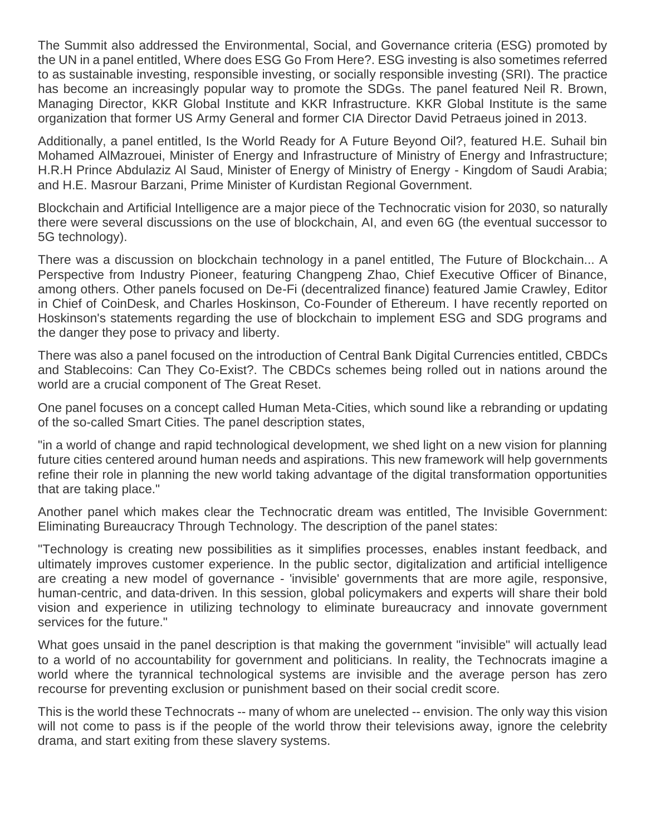The Summit also addressed the Environmental, Social, and Governance criteria (ESG) promoted by the UN in a panel entitled, Where does ESG Go From Here?. ESG investing is also sometimes referred to as sustainable investing, responsible investing, or socially responsible investing (SRI). The practice has become an increasingly popular way to promote the SDGs. The panel featured Neil R. Brown, Managing Director, KKR Global Institute and KKR Infrastructure. KKR Global Institute is the same organization that former US Army General and former CIA Director David Petraeus joined in 2013.

Additionally, a panel entitled, Is the World Ready for A Future Beyond Oil?, featured H.E. Suhail bin Mohamed AlMazrouei, Minister of Energy and Infrastructure of Ministry of Energy and Infrastructure; H.R.H Prince Abdulaziz Al Saud, Minister of Energy of Ministry of Energy - Kingdom of Saudi Arabia; and H.E. Masrour Barzani, Prime Minister of Kurdistan Regional Government.

Blockchain and Artificial Intelligence are a major piece of the Technocratic vision for 2030, so naturally there were several discussions on the use of blockchain, AI, and even 6G (the eventual successor to 5G technology).

There was a discussion on blockchain technology in a panel entitled, The Future of Blockchain... A Perspective from Industry Pioneer, featuring Changpeng Zhao, Chief Executive Officer of Binance, among others. Other panels focused on De-Fi (decentralized finance) featured Jamie Crawley, Editor in Chief of CoinDesk, and Charles Hoskinson, Co-Founder of Ethereum. I have recently reported on Hoskinson's statements regarding the use of blockchain to implement ESG and SDG programs and the danger they pose to privacy and liberty.

There was also a panel focused on the introduction of Central Bank Digital Currencies entitled, CBDCs and Stablecoins: Can They Co-Exist?. The CBDCs schemes being rolled out in nations around the world are a crucial component of The Great Reset.

One panel focuses on a concept called Human Meta-Cities, which sound like a rebranding or updating of the so-called Smart Cities. The panel description states,

"in a world of change and rapid technological development, we shed light on a new vision for planning future cities centered around human needs and aspirations. This new framework will help governments refine their role in planning the new world taking advantage of the digital transformation opportunities that are taking place."

Another panel which makes clear the Technocratic dream was entitled, The Invisible Government: Eliminating Bureaucracy Through Technology. The description of the panel states:

"Technology is creating new possibilities as it simplifies processes, enables instant feedback, and ultimately improves customer experience. In the public sector, digitalization and artificial intelligence are creating a new model of governance - 'invisible' governments that are more agile, responsive, human-centric, and data-driven. In this session, global policymakers and experts will share their bold vision and experience in utilizing technology to eliminate bureaucracy and innovate government services for the future."

What goes unsaid in the panel description is that making the government "invisible" will actually lead to a world of no accountability for government and politicians. In reality, the Technocrats imagine a world where the tyrannical technological systems are invisible and the average person has zero recourse for preventing exclusion or punishment based on their social credit score.

This is the world these Technocrats -- many of whom are unelected -- envision. The only way this vision will not come to pass is if the people of the world throw their televisions away, ignore the celebrity drama, and start exiting from these slavery systems.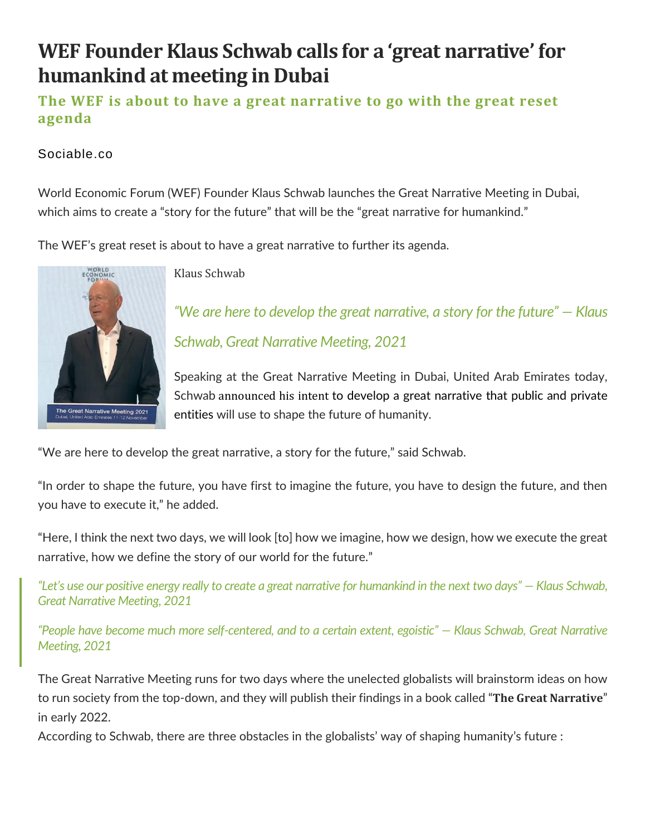# **WEF Founder Klaus Schwab calls for a 'great narrative' for humankind at meeting in Dubai**

### **The WEF is about to have a great narrative to go with the great reset agenda**

#### Sociable.co

World Economic Forum (WEF) Founder Klaus Schwab launches the Great Narrative Meeting in Dubai, which aims to create a "story for the future" that will be the "great narrative for humankind."

The WEF's great reset is about to have a great narrative to further its agenda.



Klaus Schwab

*"We are here to develop the great narrative, a story for the future" — Klaus Schwab, Great Narrative Meeting, 2021*

Speaking at the Great Narrative Meeting in Dubai, United Arab Emirates today, Schwab [announced](https://www.weforum.org/events/the-great-narrative-2021/about) his intent to develop a great narrative that public and private entities will use to shape the future of humanity.

"We are here to develop the great narrative, a story for the future," said Schwab.

"In order to shape the future, you have first to imagine the future, you have to design the future, and then you have to execute it," he added.

"Here, I think the next two days, we will look [to] how we imagine, how we design, how we execute the great narrative, how we define the story of our world for the future."

*"Let's use our positive energy really to create a great narrative for humankind in the next two days" — Klaus Schwab, Great Narrative Meeting, 2021*

*"People have become much more self-centered, and to a certain extent, egoistic" — Klaus Schwab, Great Narrative Meeting, 2021*

The Great Narrative Meeting runs for two days where the unelected globalists will brainstorm ideas on how to run society from the top-down, and they will publish their findings in a book called "**The Great Narrative**" in early 2022.

According to Schwab, there are three obstacles in the globalists' way of shaping humanity's future :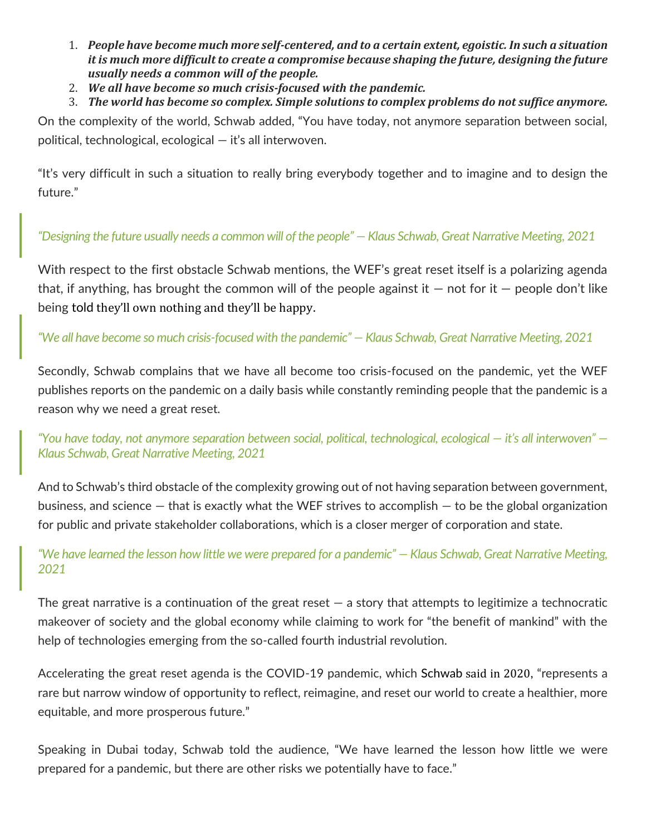- 1. *People have become much more self-centered, and to a certain extent, egoistic. In such a situation it is much more difficult to create a compromise because shaping the future, designing the future usually needs a common will of the people.*
- 2. *We all have become so much crisis-focused with the pandemic.*
- 3. *The world has become so complex. Simple solutions to complex problems do not suffice anymore.*

On the complexity of the world, Schwab added, "You have today, not anymore separation between social, political, technological, ecological — it's all interwoven.

"It's very difficult in such a situation to really bring everybody together and to imagine and to design the future."

#### *"Designing the future usually needs a common will of the people" — Klaus Schwab, Great Narrative Meeting, 2021*

With respect to the first obstacle Schwab mentions, the WEF's great reset itself is a polarizing agenda that, if anything, has brought the common will of the people against it  $-$  not for it  $-$  people don't like being told they'll own [nothing](https://www.forbes.com/sites/worldeconomicforum/2016/11/10/shopping-i-cant-really-remember-what-that-is-or-how-differently-well-live-in-2030/?sh=1e0a1bad1735) and they'll be happy.

*"We all have become so much crisis-focused with the pandemic" — Klaus Schwab, Great Narrative Meeting, 2021*

Secondly, Schwab complains that we have all become too crisis-focused on the pandemic, yet the WEF publishes reports on the pandemic on a daily basis while constantly reminding people that the pandemic is a reason why we need a great reset.

*"You have today, not anymore separation between social, political, technological, ecological — it's all interwoven" — Klaus Schwab, Great Narrative Meeting, 2021*

And to Schwab's third obstacle of the complexity growing out of not having separation between government, business, and science — that is exactly what the WEF strives to accomplish — to be the global organization for public and private stakeholder collaborations, which is a closer merger of corporation and state.

#### *"We have learned the lesson how little we were prepared for a pandemic" — Klaus Schwab, Great Narrative Meeting, 2021*

The great narrative is a continuation of the great reset  $-$  a story that attempts to legitimize a technocratic makeover of society and the global economy while claiming to work for "the benefit of mankind" with the help of technologies emerging from the so-called fourth industrial revolution.

Accelerating the great reset agenda is the COVID-19 pandemic, which Schwab said in [2020](https://sociable.co/technology/skeptical-great-reset-technocratic-agenda-waited-years-crisis-exploit/), "represents a rare but narrow window of opportunity to reflect, reimagine, and reset our world to create a healthier, more equitable, and more prosperous future."

Speaking in Dubai today, Schwab told the audience, "We have learned the lesson how little we were prepared for a pandemic, but there are other risks we potentially have to face."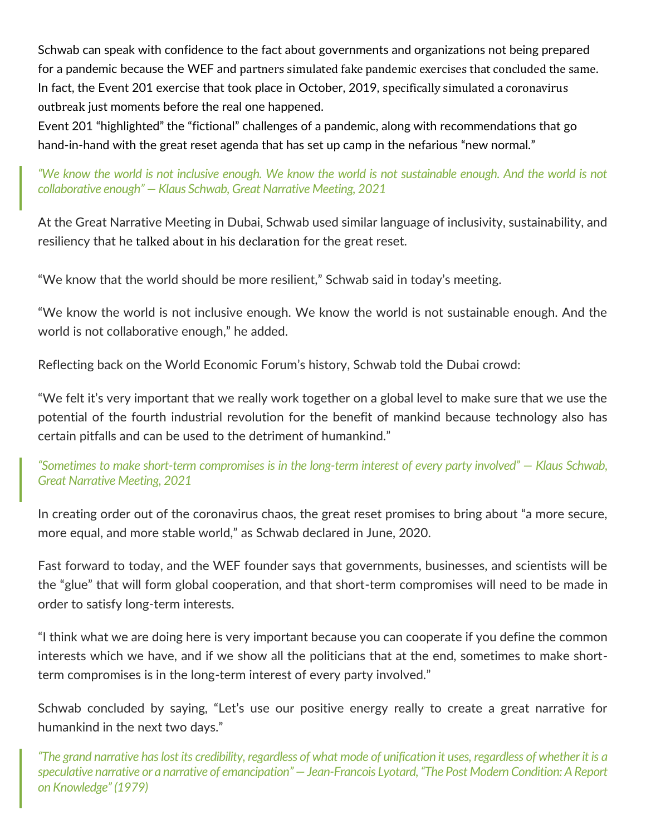Schwab can speak with confidence to the fact about governments and organizations not being prepared for a pandemic because the WEF and partners simulated fake pandemic exercises that [concluded](https://sociable.co/technology/supply-chain-events-pandemic-prophecies-great-reset/) the same. In fact, the Event 201 exercise that took place in October, 2019, specifically simulated a [coronavirus](https://sociable.co/government-and-policy/timeline-great-reset-agenda-event-201-pandemic-2020/) [outbreak](https://sociable.co/government-and-policy/timeline-great-reset-agenda-event-201-pandemic-2020/) just moments before the real one happened.

Event 201 "highlighted" the "fictional" challenges of a pandemic, along with recommendations that go hand-in-hand with the great reset agenda that has set up camp in the nefarious "new normal."

*"We know the world is not inclusive enough. We know the world is not sustainable enough. And the world is not collaborative enough" — Klaus Schwab, Great Narrative Meeting, 2021*

At the Great Narrative Meeting in Dubai, Schwab used similar language of inclusivity, sustainability, and resiliency that he talked about in his [declaration](https://www.weforum.org/agenda/2020/06/now-is-the-time-for-a-great-reset/) for the great reset.

"We know that the world should be more resilient," Schwab said in today's meeting.

"We know the world is not inclusive enough. We know the world is not sustainable enough. And the world is not collaborative enough," he added.

Reflecting back on the World Economic Forum's history, Schwab told the Dubai crowd:

"We felt it's very important that we really work together on a global level to make sure that we use the potential of the fourth industrial revolution for the benefit of mankind because technology also has certain pitfalls and can be used to the detriment of humankind."

*"Sometimes to make short-term compromises is in the long-term interest of every party involved" — Klaus Schwab, Great Narrative Meeting, 2021*

In creating order out of the coronavirus chaos, the great reset promises to bring about "a more secure, more equal, and more stable world," as Schwab declared in June, 2020.

Fast forward to today, and the WEF founder says that governments, businesses, and scientists will be the "glue" that will form global cooperation, and that short-term compromises will need to be made in order to satisfy long-term interests.

"I think what we are doing here is very important because you can cooperate if you define the common interests which we have, and if we show all the politicians that at the end, sometimes to make shortterm compromises is in the long-term interest of every party involved."

Schwab concluded by saying, "Let's use our positive energy really to create a great narrative for humankind in the next two days."

*"The grand narrative has lost its credibility, regardless of what mode of unification it uses, regardless of whether it is a speculative narrative or a narrative of emancipation" — Jean-Francois Lyotard, "The Post Modern Condition: A Report on Knowledge" (1979)*